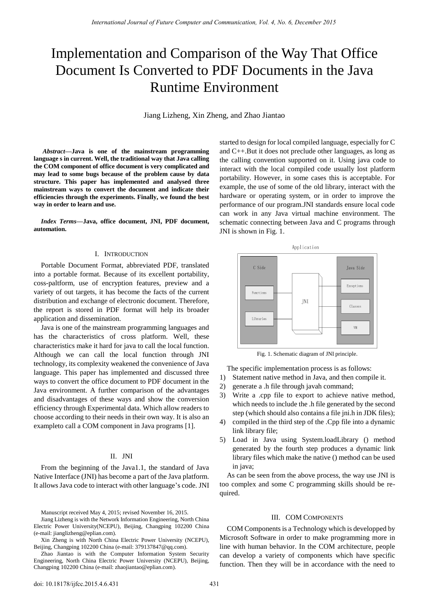# Implementation and Comparison of the Way That Office Document Is Converted to PDF Documents in the Java Runtime Environment

Jiang Lizheng, Xin Zheng, and Zhao Jiantao

*Abstract***—Java is one of the mainstream programming language s in current. Well, the traditional way that Java calling the COM component of office document is very complicated and may lead to some bugs because of the problem cause by data structure. This paper has implemented and analysed three mainstream ways to convert the document and indicate their efficiencies through the experiments. Finally, we found the best way in order to learn and use.** 

*Index Terms—***Java, office document, JNI, PDF document, automation.**

#### I. INTRODUCTION

Portable Document Format, abbreviated PDF, translated into a portable format. Because of its excellent portability, coss-paltform, use of encryption features, preview and a variety of out targets, it has become the facts of the current distribution and exchange of electronic document. Therefore, the report is stored in PDF format will help its broader application and dissemination.

Java is one of the mainstream programming languages and has the characteristics of cross platform. Well, these characteristics make it hard for java to call the local function. Although we can call the local function through JNI technology, its complexity weakened the convenience of Java language. This paper has implemented and discussed three ways to convert the office document to PDF document in the Java environment. A further comparison of the advantages and disadvantages of these ways and show the conversion efficiency through Experimental data. Which allow readers to choose according to their needs in their own way. It is also an exampleto call a COM component in Java programs [1].

## II. JNI

From the beginning of the Java1.1, the standard of Java Native Interface (JNI) has become a part of the Java platform. It allows Java code to interact with other language's code. JNI

Manuscript received May 4, 2015; revised November 16, 2015.

Jiang Lizheng is with the Network Information Engineering, North China Electric Power University(NCEPU), Beijing, Changping 102200 China (e-mail: jianglizheng@eplian.com).

Xin Zheng is with North China Electric Power University (NCEPU), Beijing, Changping 102200 China (e-mail: 379137847@qq.com).

Zhao Jiantao is with the Computer Information System Security Engineering, North China Electric Power University (NCEPU), Beijing, Changping 102200 China (e-mail: zhaojiantao@eplian.com).

started to design for local compiled language, especially for C and C++.But it does not preclude other languages, as long as the calling convention supported on it. Using java code to interact with the local compiled code usually lost platform portability. However, in some cases this is acceptable. For example, the use of some of the old library, interact with the hardware or operating system, or in order to improve the performance of our program.JNI standards ensure local code can work in any Java virtual machine environment. The schematic connecting between Java and C programs through JNI is shown in Fig. 1.



Fig. 1. Schematic diagram of JNI principle.

The specific implementation process is as follows:

- 1) Statement native method in Java, and then compile it.
- 2) generate a .h file through javah command;
- 3) Write a .cpp file to export to achieve native method, which needs to include the .h file generated by the second step (which should also contains a file jni.h in JDK files);
- 4) compiled in the third step of the .Cpp file into a dynamic link library file;
- 5) Load in Java using System.loadLibrary () method generated by the fourth step produces a dynamic link library files which make the native () method can be used in java;

As can be seen from the above process, the way use JNI is too complex and some C programming skills should be required.

#### III. COM COMPONENTS

COM Components is a Technology which is developped by Microsoft Software in order to make programming more in line with human behavior. In the COM architecture, people can develop a variety of components which have specific function. Then they will be in accordance with the need to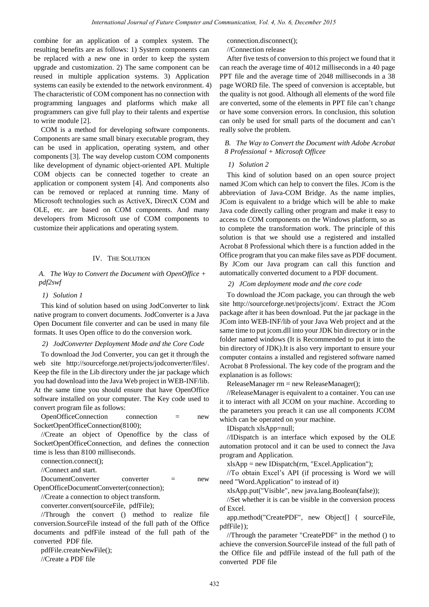combine for an application of a complex system. The resulting benefits are as follows: 1) System components can be replaced with a new one in order to keep the system upgrade and customization. 2) The same component can be reused in multiple application systems. 3) Application systems can easily be extended to the network environment. 4) The characteristic of COM component has no connection with programming languages and platforms which make all programmers can give full play to their talents and expertise to write module [2].

COM is a method for developing software components. Components are same small binary executable program, they can be used in application, operating system, and other components [3]. The way develop custom COM components like development of dynamic object-oriented API. Multiple COM objects can be connected together to create an application or component system [4]. And components also can be removed or replaced at running time. Many of Microsoft technologies such as ActiveX, DirectX COM and OLE, etc. are based on COM components. And many developers from Microsoft use of COM components to customize their applications and operating system.

### IV. THE SOLUTION

*A. The Way to Convert the Document with OpenOffice + pdf2swf* 

## *1) Solution 1*

This kind of solution based on using JodConverter to link native program to convert documents. JodConverter is a Java Open Document file converter and can be used in many file formats. It uses Open office to do the conversion work.

## *2) JodConverter Deployment Mode and the Core Code*

To download the Jod Converter, you can get it through the web site http://sourceforge.net/projects/jodconverter/files/. Keep the file in the Lib directory under the jar package which you had download into the Java Web project in WEB-INF/lib. At the same time you should ensure that have OpenOffice software installed on your computer. The Key code used to convert program file as follows:

OpenOfficeConnection connection = new SocketOpenOfficeConnection(8100);

//Create an object of Openoffice by the class of SocketOpenOfficeConnection, and defines the connection time is less than 8100 milliseconds.

connection.connect();

//Connect and start.

DocumentConverter converter = new OpenOfficeDocumentConverter(connection);

//Create a connection to object transform.

converter.convert(sourceFile, pdfFile);

//Through the convert () method to realize file conversion.SourceFile instead of the full path of the Office documents and pdfFile instead of the full path of the converted PDF file.

pdfFile.createNewFile();

//Create a PDF file

connection.disconnect();

//Connection release

After five tests of conversion to this project we found that it can reach the average time of 4012 milliseconds in a 40 page PPT file and the average time of 2048 milliseconds in a 38 page WORD file. The speed of conversion is acceptable, but the quality is not good. Although all elements of the word file are converted, some of the elements in PPT file can't change or have some conversion errors. In conclusion, this solution can only be used for small parts of the document and can't really solve the problem.

## *B. The Way to Convert the Document with Adobe Acrobat 8 Professional + Microsoft Officee*

### *1) Solution 2*

This kind of solution based on an open source project named JCom which can help to convert the files. JCom is the abbreviation of Java-COM Bridge. As the name implies, JCom is equivalent to a bridge which will be able to make Java code directly calling other program and make it easy to access to COM components on the Windows platform, so as to complete the transformation work. The principle of this solution is that we should use a registered and installed Acrobat 8 Professional which there is a function added in the Office program that you can make files save as PDF document. By JCom our Java program can call this function and automatically converted document to a PDF document.

#### *2) JCom deployment mode and the core code*

To download the JCom package, you can through the web site [http://sourceforge.net/projects/jcom/.](http://sourceforge.net/projects/jcom/) Extract the JCom package after it has been download. Put the jar package in the JCom into WEB-INF/lib of your Java Web project and at the same time to put jcom.dll into your JDK bin directory or in the folder named windows (It is Recommended to put it into the bin directory of JDK).It is also very important to ensure your computer contains a installed and registered software named Acrobat 8 Professional. The key code of the program and the explanation is as follows:

ReleaseManager rm = new ReleaseManager();

//ReleaseManager is equivalent to a container. You can use it to interact with all JCOM on your machine. According to the parameters you preach it can use all components JCOM which can be operated on your machine.

IDispatch xlsApp=null;

//IDispatch is an interface which exposed by the OLE automation protocol and it can be used to connect the Java program and Application.

xlsApp = new IDispatch(rm, "Excel.Application");

//To obtain Excel's API (if processing is Word we will need "Word.Application" to instead of it)

xlsApp.put("Visible", new java.lang.Boolean(false));

//Set whether it is can be visible in the conversion process of Excel.

app.method("CreatePDF", new Object[] { sourceFile, pdfFile});

//Through the parameter "CreatePDF" in the method () to achieve the conversion.SourceFile instead of the full path of the Office file and pdfFile instead of the full path of the converted PDF file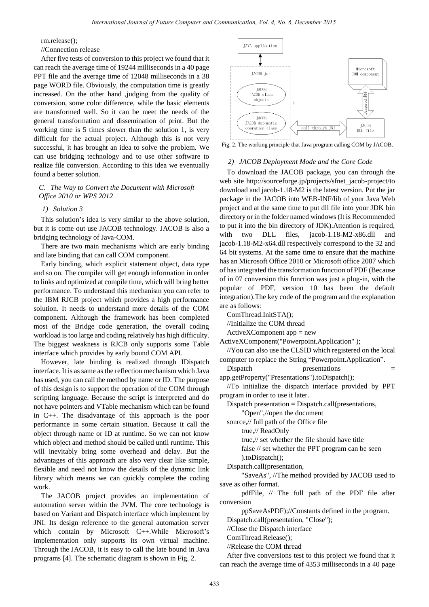rm.release();

//Connection release

After five tests of conversion to this project we found that it can reach the average time of 19244 milliseconds in a 40 page PPT file and the average time of 12048 milliseconds in a 38 page WORD file. Obviously, the computation time is greatly increased. On the other hand ,judging from the quality of conversion, some color difference, while the basic elements are transformed well. So it can be meet the needs of the general transformation and dissemination of print. But the working time is 5 times slower than the solution 1, is very difficult for the actual project. Although this is not very successful, it has brought an idea to solve the problem. We can use bridging technology and to use other software to realize file conversion. According to this idea we eventually found a better solution.

*C. The Way to Convert the Document with Microsoft Office 2010 or WPS 2012*

## *1) Solution 3*

This solution's idea is very similar to the above solution, but it is come out use JACOB technology. JACOB is also a bridging technology of Java-COM.

There are two main mechanisms which are early binding and late binding that can call COM component.

Early binding, which explicit statement object, data type and so on. The compiler will get enough information in order to links and optimized at compile time, which will bring better performance. To understand this mechanism you can refer to the IBM RJCB project which provides a high performance solution. It needs to understand more details of the COM component. Although the framework has been completed most of the Bridge code generation, the overall coding workload is too large and coding relatively has high difficulty. The biggest weakness is RJCB only supports some Table interface which provides by early bound COM API.

However, late binding is realized through IDispatch interface. It is as same as the reflection mechanism which Java has used, you can call the method by name or ID. The purpose of this design is to support the operation of the COM through scripting language. Because the script is interpreted and do not have pointers and VTable mechanism which can be found in C++. The disadvantage of this approach is the poor performance in some certain situation. Because it call the object through name or ID at runtime. So we can not know which object and method should be called until runtime. This will inevitably bring some overhead and delay. But the advantages of this approach are also very clear like simple, flexible and need not know the details of the dynamic link library which means we can quickly complete the coding work.

The JACOB project provides an implementation of automation server within the JVM. The core technology is based on Variant and Dispatch interface which implement by JNI. Its design reference to the general automation server which contain by Microsoft C++.While Microsoft's implementation only supports its own virtual machine. Through the JACOB, it is easy to call the late bound in Java programs [4]. The schematic diagram is shown in Fig. 2.



Fig. 2. The working principle that Java program calling COM by JACOB.

#### *2) JACOB Deployment Mode and the Core Code*

To download the JACOB package, you can through the web site http://sourceforge.jp/projects/sfnet\_jacob-project/to download and jacob-1.18-M2 is the latest version. Put the jar package in the JACOB into WEB-INF/lib of your Java Web project and at the same time to put dll file into your JDK bin directory or in the folder named windows (It is Recommended to put it into the bin directory of JDK).Attention is required, with two DLL files, jacob-1.18-M2-x86.dll and jacob-1.18-M2-x64.dll respectively correspond to the 32 and 64 bit systems. At the same time to ensure that the machine has an Microsoft Office 2010 or Microsoft office 2007 which of has integrated the transformation function of PDF (Because of in 07 conversion this function was just a plug-in, with the popular of PDF, version 10 has been the default integration).The key code of the program and the explanation are as follows:

ComThread.InitSTA();

//Initialize the COM thread

 $ActiveXComponent$  app = new

ActiveXComponent("Powerpoint.Application" );

//You can also use the CLSID which registered on the local computer to replace the String "Powerpoint.Application".

Dispatch presentations

app.getProperty("Presentations").toDispatch();

//To initialize the dispatch interface provided by PPT program in order to use it later.

Dispatch presentation = Dispatch.call(presentations,

"Open",//open the document

source,// full path of the Office file

true,// ReadOnly

true,// set whether the file should have title

 false // set whether the PPT program can be seen ).toDispatch();

Dispatch.call(presentation,

 "SaveAs", //The method provided by JACOB used to save as other format.

 pdfFile, // The full path of the PDF file after conversion

ppSaveAsPDF);//Constants defined in the program.

Dispatch.call(presentation, "Close");

//Close the Dispatch interface

ComThread.Release();

//Release the COM thread

After five conversions test to this project we found that it can reach the average time of 4353 milliseconds in a 40 page